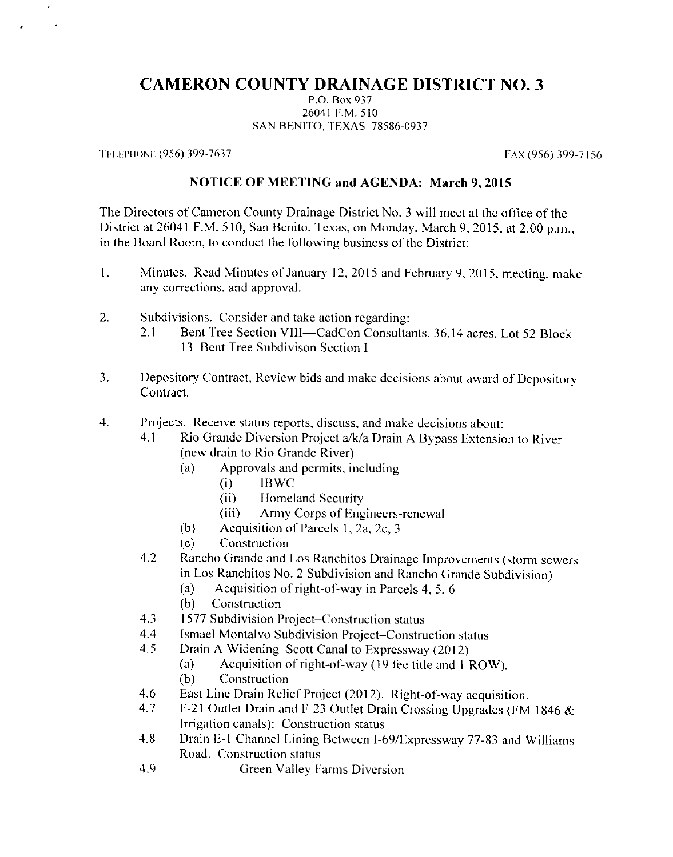## **CAMERON COUNTY DRAINAGE DISTRICT NO. 3**

P.O. Box 937 26041 F.M. 510 SAN BENITO, TEXAS 78586-0937

TELEPHONE (956) 399-7637

 $\hat{\phantom{a}}$ 

FAX (956) 399-7156

## **NOTICE OF MEETING and AGENDA: March 9, 2015**

The Directors of Cameron County Drainage District No. 3 will meet at the office of the District at 26041 F.M. 510, San Benito, Texas, on Monday, March 9, 2015, at 2:00 p.m., in the Board Room, to conduct the following business of the District:

- Minutes. Read Minutes of January 12, 2015 and February 9, 2015, meeting, make  $\mathbf{1}$ . any corrections, and approval.
- $\overline{2}$ . Subdivisions. Consider and take action regarding:
	- Bent Tree Section VIII-CadCon Consultants. 36.14 acres, Lot 52 Block  $2.1$ 13 Bent Tree Subdivison Section I.
- $3.$ Depository Contract, Review bids and make decisions about award of Depository Contract.
- $\overline{4}$ . Projects. Receive status reports, discuss, and make decisions about:
	- Rio Grande Diversion Project a/k/a Drain A Bypass Extension to River  $4.1$ (new drain to Rio Grande River)
		- Approvals and permits, including  $(a)$ 
			- **IBWC**  $(i)$
			- $(ii)$ Homeland Security
			- Army Corps of Engineers-renewal  $(iii)$
		- $(b)$ Acquisition of Parcels 1, 2a, 2c, 3
		- $(c)$ Construction
	- $4.2$ Rancho Grande and Los Ranchitos Drainage Improvements (storm sewers in Los Ranchitos No. 2 Subdivision and Rancho Grande Subdivision)
		- Acquisition of right-of-way in Parcels 4, 5, 6  $(a)$
		- Construction  $(b)$
	- 1577 Subdivision Project-Construction status 4.3
	- 4.4 Ismael Montalvo Subdivision Project–Construction status
	- $4.5$ Drain A Widening–Scott Canal to Expressway (2012)
		- Acquisition of right-of-way (19 fee title and 1 ROW).  $(a)$
		- $(b)$ Construction
	- 4.6 East Line Drain Relief Project (2012). Right-of-way acquisition.
	- F-21 Outlet Drain and F-23 Outlet Drain Crossing Upgrades (FM 1846 & 4.7 Irrigation canals): Construction status
	- Drain E-1 Channel Lining Between I-69/Expressway 77-83 and Williams 4.8 Road. Construction status
	- 4.9 Green Valley Farms Diversion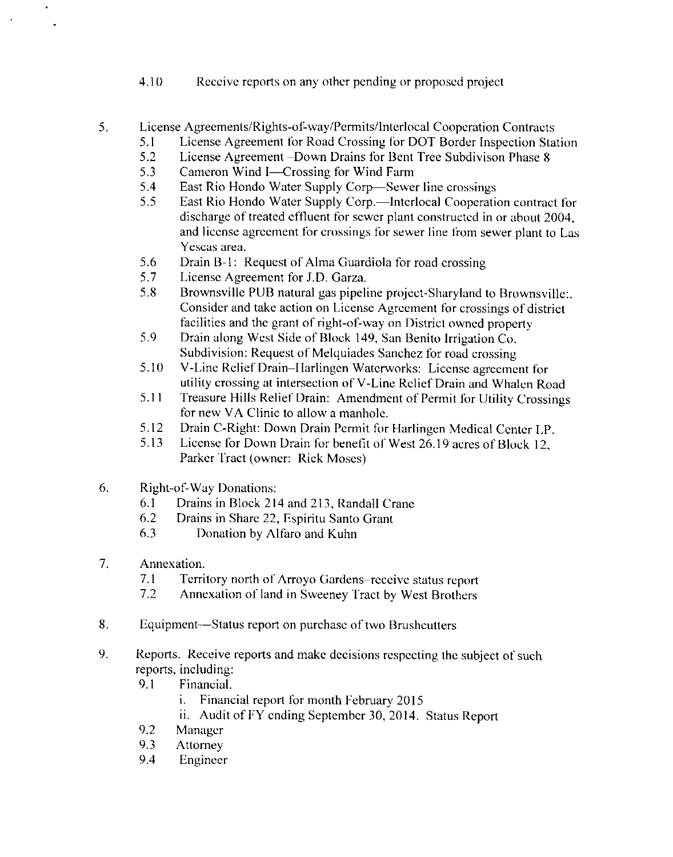- 4.10 Receive reports on any other pending or proposed project
- 5. License Agreements/Rights-of-way/Permits/Interlocal Cooperation Contracts
	- $5.1$ License Agreement for Road Crossing for DOT Border Inspection Station
	- $5.2$ License Agreement –Down Drains for Bent Tree Subdivison Phase 8
	- 5.3 Cameron Wind I-Crossing for Wind Farm
	- East Rio Hondo Water Supply Corp-Sewer line crossings 5.4
	- 5.5 East Rio Hondo Water Supply Corp.—Interlocal Cooperation contract for discharge of treated effluent for sewer plant constructed in or about 2004, and license agreement for crossings for sewer line from sewer plant to Las Yescas area.
	- 5.6 Drain B-1: Request of Alma Guardiola for road crossing
	- 5.7 License Agreement for J.D. Garza.
	- Brownsville PUB natural gas pipeline project-Sharyland to Brownsville:. 5.8 Consider and take action on License Agreement for crossings of district facilities and the grant of right-of-way on District owned property
	- 5.9 Drain along West Side of Block 149, San Benito Irrigation Co. Subdivision: Request of Melquiades Sanchez for road crossing
	- V-Line Relief Drain-Harlingen Waterworks: License agreement for 5.10 utility crossing at intersection of V-Line Relief Drain and Whalen Road
	- Treasure Hills Relief Drain: Amendment of Permit for Utility Crossings 5.11 for new VA Clinic to allow a manhole.
	- 5.12 Drain C-Right: Down Drain Permit for Harlingen Medical Center LP.
	- $5.13$ License for Down Drain for benefit of West 26.19 acres of Block 12. Parker Tract (owner: Rick Moses)
- 6. **Right-of-Way Donations:** 
	- Drains in Block 214 and 213, Randall Crane 6.1
	- 6.2 Drains in Share 22, Espiritu Santo Grant
	- $6.3$ Donation by Alfaro and Kuhn
- 7. Annexation.
	- $7.1$ Territory north of Arroyo Gardens–receive status report
	- Annexation of land in Sweeney Tract by West Brothers  $7.2$
- 8. Equipment—Status report on purchase of two Brushcutters
- 9. Reports. Receive reports and make decisions respecting the subject of such reports, including:
	- 9.1 Financial.
		- Financial report for month February 2015 i.
		- ii. Audit of FY ending September 30, 2014. Status Report
	- 9.2 Manager
	- $9.3$ **Attorney**
	- 9.4 Engineer